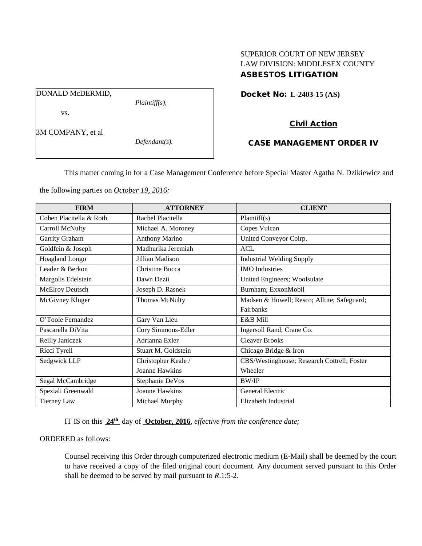# SUPERIOR COURT OF NEW JERSEY LAW DIVISION: MIDDLESEX COUNTY ASBESTOS LITIGATION

Docket No: **L-2403-15 (AS)** 

DONALD McDERMID,

vs.

*Plaintiff(s),*

# Civil Action

3M COMPANY, et al

*Defendant(s).*

# CASE MANAGEMENT ORDER IV

This matter coming in for a Case Management Conference before Special Master Agatha N. Dzikiewicz and

the following parties on *October 19, 2016:*

| <b>FIRM</b>             | <b>ATTORNEY</b>       | <b>CLIENT</b>                               |
|-------------------------|-----------------------|---------------------------------------------|
| Cohen Placitella & Roth | Rachel Placitella     | Plaintiff(s)                                |
| Carroll McNulty         | Michael A. Moroney    | Copes Vulcan                                |
| Garrity Graham          | <b>Anthony Marino</b> | United Conveyor Coirp.                      |
| Goldfein & Joseph       | Madhurika Jeremiah    | <b>ACL</b>                                  |
| <b>Hoagland Longo</b>   | Jillian Madison       | <b>Industrial Welding Supply</b>            |
| Leader & Berkon         | Christine Bucca       | <b>IMO</b> Industries                       |
| Margolis Edelstein      | Dawn Dezii            | United Engineers; Woolsulate                |
| <b>McElroy Deutsch</b>  | Joseph D. Rasnek      | Burnham; ExxonMobil                         |
| McGivney Kluger         | Thomas McNulty        | Madsen & Howell; Resco; Alltite; Safeguard; |
|                         |                       | Fairbanks                                   |
| O'Toole Fernandez       | Gary Van Lieu         | E&B Mill                                    |
| Pascarella DiVita       | Cory Simmons-Edler    | Ingersoll Rand; Crane Co.                   |
| Reilly Janiczek         | Adrianna Exler        | <b>Cleaver Brooks</b>                       |
| Ricci Tyrell            | Stuart M. Goldstein   | Chicago Bridge & Iron                       |
| Sedgwick LLP            | Christopher Keale /   | CBS/Westinghouse; Research Cottrell; Foster |
|                         | Joanne Hawkins        | Wheeler                                     |
| Segal McCambridge       | Stephanie DeVos       | <b>BW/IP</b>                                |
| Speziali Greenwald      | Joanne Hawkins        | General Electric                            |
| <b>Tierney Law</b>      | Michael Murphy        | Elizabeth Industrial                        |

IT IS on this **24th** day of **October, 2016**, *effective from the conference date;*

ORDERED as follows:

Counsel receiving this Order through computerized electronic medium (E-Mail) shall be deemed by the court to have received a copy of the filed original court document. Any document served pursuant to this Order shall be deemed to be served by mail pursuant to *R*.1:5-2.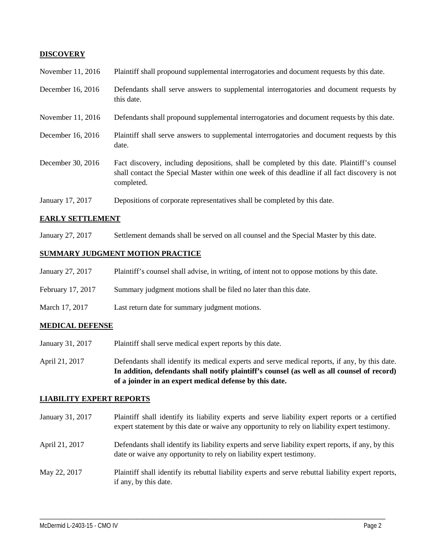## **DISCOVERY**

| November 11, 2016 | Plaintiff shall propound supplemental interrogatories and document requests by this date.                                                                                                                   |
|-------------------|-------------------------------------------------------------------------------------------------------------------------------------------------------------------------------------------------------------|
| December 16, 2016 | Defendants shall serve answers to supplemental interrogatories and document requests by<br>this date.                                                                                                       |
| November 11, 2016 | Defendants shall propound supplemental interrogatories and document requests by this date.                                                                                                                  |
| December 16, 2016 | Plaintiff shall serve answers to supplemental interrogatories and document requests by this<br>date.                                                                                                        |
| December 30, 2016 | Fact discovery, including depositions, shall be completed by this date. Plaintiff's counsel<br>shall contact the Special Master within one week of this deadline if all fact discovery is not<br>completed. |
| January 17, 2017  | Depositions of corporate representatives shall be completed by this date.                                                                                                                                   |

#### **EARLY SETTLEMENT**

January 27, 2017 Settlement demands shall be served on all counsel and the Special Master by this date.

#### **SUMMARY JUDGMENT MOTION PRACTICE**

- January 27, 2017 Plaintiff's counsel shall advise, in writing, of intent not to oppose motions by this date.
- February 17, 2017 Summary judgment motions shall be filed no later than this date.
- March 17, 2017 Last return date for summary judgment motions.

#### **MEDICAL DEFENSE**

- January 31, 2017 Plaintiff shall serve medical expert reports by this date.
- April 21, 2017 Defendants shall identify its medical experts and serve medical reports, if any, by this date. **In addition, defendants shall notify plaintiff's counsel (as well as all counsel of record) of a joinder in an expert medical defense by this date.**

#### **LIABILITY EXPERT REPORTS**

| January 31, 2017 | Plaintiff shall identify its liability experts and serve liability expert reports or a certified<br>expert statement by this date or waive any opportunity to rely on liability expert testimony. |
|------------------|---------------------------------------------------------------------------------------------------------------------------------------------------------------------------------------------------|
| April 21, 2017   | Defendants shall identify its liability experts and serve liability expert reports, if any, by this<br>date or waive any opportunity to rely on liability expert testimony.                       |
| May 22, 2017     | Plaintiff shall identify its rebuttal liability experts and serve rebuttal liability expert reports,<br>if any, by this date.                                                                     |

\_\_\_\_\_\_\_\_\_\_\_\_\_\_\_\_\_\_\_\_\_\_\_\_\_\_\_\_\_\_\_\_\_\_\_\_\_\_\_\_\_\_\_\_\_\_\_\_\_\_\_\_\_\_\_\_\_\_\_\_\_\_\_\_\_\_\_\_\_\_\_\_\_\_\_\_\_\_\_\_\_\_\_\_\_\_\_\_\_\_\_\_\_\_\_\_\_\_\_\_\_\_\_\_\_\_\_\_\_\_